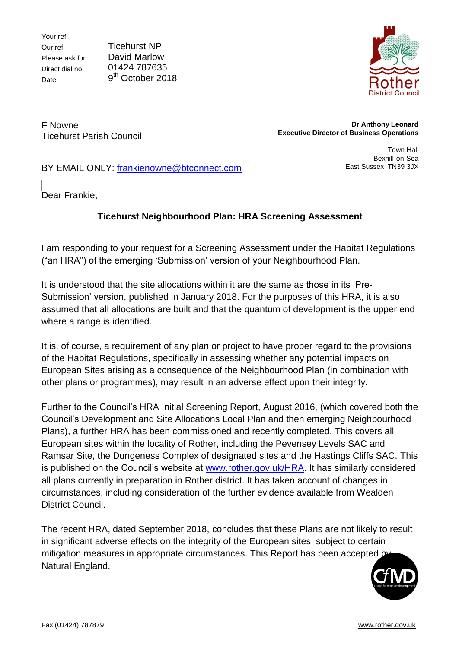Your ref: Our ref: Please ask for: Direct dial no: Date:

Ticehurst NP David Marlow 01424 787635 9<sup>th</sup> October 2018



F Nowne Ticehurst Parish Council

**Dr Anthony Leonard Executive Director of Business Operations**

> Town Hall Bexhill-on-Sea East Sussex TN39 3JX

BY EMAIL ONLY: [frankienowne@btconnect.com](mailto:frankienowne@btconnect.com)

Dear Frankie,

## **Ticehurst Neighbourhood Plan: HRA Screening Assessment**

1. I am responding to your request for a Screening Assessment under the Habitat Regulations ("an HRA") of the emerging "Submission" version of your Neighbourhood Plan.

It is understood that the site allocations within it are the same as those in its 'Pre-Submission" version, published in January 2018. For the purposes of this HRA, it is also assumed that all allocations are built and that the quantum of development is the upper end where a range is identified.

It is, of course, a requirement of any plan or project to have proper regard to the provisions of the Habitat Regulations, specifically in assessing whether any potential impacts on European Sites arising as a consequence of the Neighbourhood Plan (in combination with other plans or programmes), may result in an adverse effect upon their integrity.

Further to the Council"s HRA Initial Screening Report, August 2016, (which covered both the Council"s Development and Site Allocations Local Plan and then emerging Neighbourhood Plans), a further HRA has been commissioned and recently completed. This covers all European sites within the locality of Rother, including the Pevensey Levels SAC and Ramsar Site, the Dungeness Complex of designated sites and the Hastings Cliffs SAC. This is published on the Council's website at [www.rother.gov.uk/HRA.](http://www.rother.gov.uk/HRA) It has similarly considered all plans currently in preparation in Rother district. It has taken account of changes in circumstances, including consideration of the further evidence available from Wealden District Council.

The recent HRA, dated September 2018, concludes that these Plans are not likely to result in significant adverse effects on the integrity of the European sites, subject to certain mitigation measures in appropriate circumstances. This Report has been accepted by Natural England.